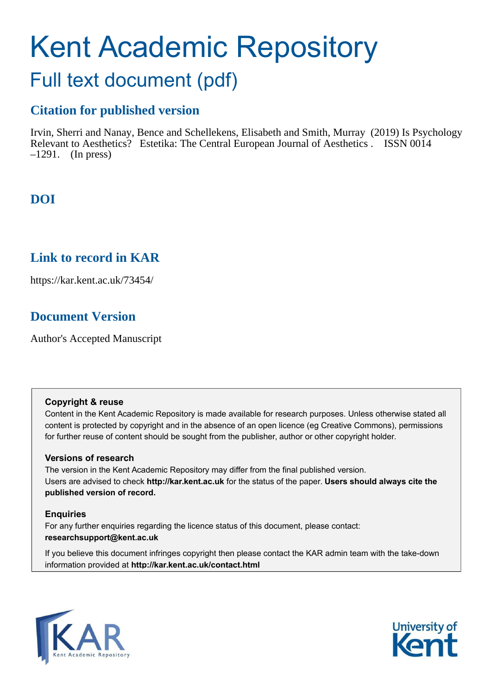# Kent Academic Repository Full text document (pdf)

## **Citation for published version**

Irvin, Sherri and Nanay, Bence and Schellekens, Elisabeth and Smith, Murray (2019) Is Psychology Relevant to Aesthetics? Estetika: The Central European Journal of Aesthetics . ISSN 0014  $-1291$ . (In press)

# **DOI**

## **Link to record in KAR**

https://kar.kent.ac.uk/73454/

# **Document Version**

Author's Accepted Manuscript

## **Copyright & reuse**

Content in the Kent Academic Repository is made available for research purposes. Unless otherwise stated all content is protected by copyright and in the absence of an open licence (eg Creative Commons), permissions for further reuse of content should be sought from the publisher, author or other copyright holder.

## **Versions of research**

The version in the Kent Academic Repository may differ from the final published version. Users are advised to check **http://kar.kent.ac.uk** for the status of the paper. **Users should always cite the published version of record.**

## **Enquiries**

For any further enquiries regarding the licence status of this document, please contact: **researchsupport@kent.ac.uk**

If you believe this document infringes copyright then please contact the KAR admin team with the take-down information provided at **http://kar.kent.ac.uk/contact.html**



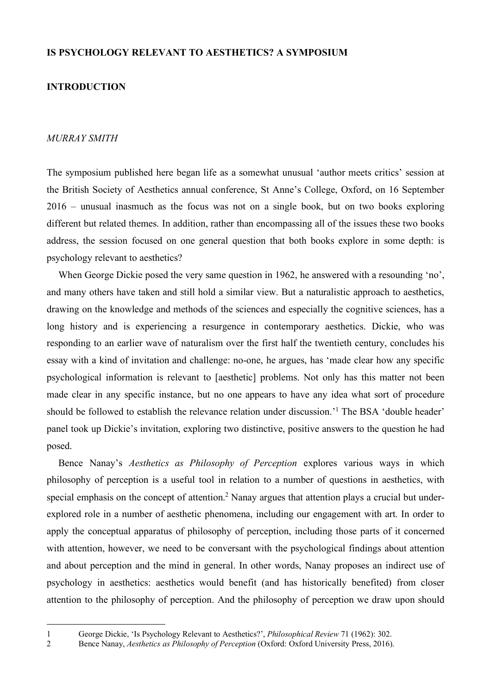#### **IS PSYCHOLOGY RELEVANT TO AESTHETICS? A SYMPOSIUM**

#### **INTRODUCTION**

#### *MURRAY SMITH*

The symposium published here began life as a somewhat unusual 'author meets critics' session at the British Society of Aesthetics annual conference, St Anne's College, Oxford, on 16 September 2016 – unusual inasmuch as the focus was not on a single book, but on two books exploring different but related themes. In addition, rather than encompassing all of the issues these two books address, the session focused on one general question that both books explore in some depth: is psychology relevant to aesthetics?

When George Dickie posed the very same question in 1962, he answered with a resounding 'no', and many others have taken and still hold a similar view. But a naturalistic approach to aesthetics, drawing on the knowledge and methods of the sciences and especially the cognitive sciences, has a long history and is experiencing a resurgence in contemporary aesthetics. Dickie, who was responding to an earlier wave of naturalism over the first half the twentieth century, concludes his essay with a kind of invitation and challenge: no-one, he argues, has 'made clear how any specific psychological information is relevant to [aesthetic] problems. Not only has this matter not been made clear in any specific instance, but no one appears to have any idea what sort of procedure should be followed to establish the relevance relation under discussion.<sup>'1</sup> The BSA 'double header' panel took up Dickie's invitation, exploring two distinctive, positive answers to the question he had posed.

Bence Nanay's *Aesthetics as Philosophy of Perception* explores various ways in which philosophy of perception is a useful tool in relation to a number of questions in aesthetics, with special emphasis on the concept of attention.<sup>2</sup> Nanay argues that attention plays a crucial but underexplored role in a number of aesthetic phenomena, including our engagement with art. In order to apply the conceptual apparatus of philosophy of perception, including those parts of it concerned with attention, however, we need to be conversant with the psychological findings about attention and about perception and the mind in general. In other words, Nanay proposes an indirect use of psychology in aesthetics: aesthetics would benefit (and has historically benefited) from closer attention to the philosophy of perception. And the philosophy of perception we draw upon should

<sup>1</sup> George Dickie, 'Is Psychology Relevant to Aesthetics?', *Philosophical Review* 71 (1962): 302.

<sup>2</sup> Bence Nanay, *Aesthetics as Philosophy of Perception* (Oxford: Oxford University Press, 2016).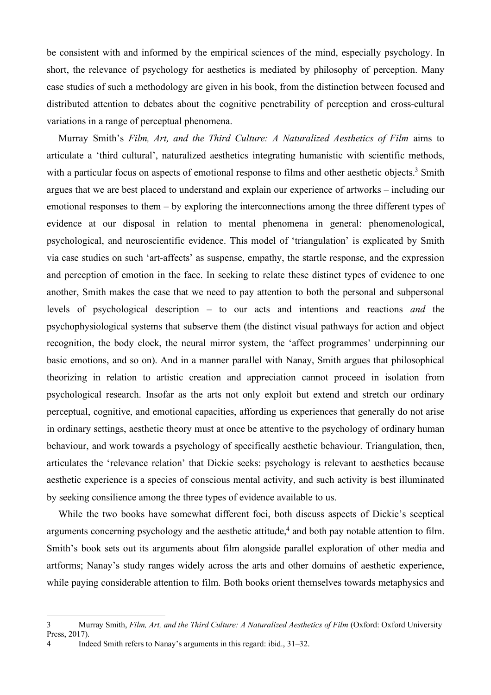be consistent with and informed by the empirical sciences of the mind, especially psychology. In short, the relevance of psychology for aesthetics is mediated by philosophy of perception. Many case studies of such a methodology are given in his book, from the distinction between focused and distributed attention to debates about the cognitive penetrability of perception and cross-cultural variations in a range of perceptual phenomena.

Murray Smith's *Film, Art, and the Third Culture: A Naturalized Aesthetics of Film* aims to articulate a 'third cultural', naturalized aesthetics integrating humanistic with scientific methods, with a particular focus on aspects of emotional response to films and other aesthetic objects.<sup>3</sup> Smith argues that we are best placed to understand and explain our experience of artworks – including our emotional responses to them – by exploring the interconnections among the three different types of evidence at our disposal in relation to mental phenomena in general: phenomenological, psychological, and neuroscientific evidence. This model of 'triangulation' is explicated by Smith via case studies on such 'art-affects' as suspense, empathy, the startle response, and the expression and perception of emotion in the face. In seeking to relate these distinct types of evidence to one another, Smith makes the case that we need to pay attention to both the personal and subpersonal levels of psychological description – to our acts and intentions and reactions *and* the psychophysiological systems that subserve them (the distinct visual pathways for action and object recognition, the body clock, the neural mirror system, the 'affect programmes' underpinning our basic emotions, and so on). And in a manner parallel with Nanay, Smith argues that philosophical theorizing in relation to artistic creation and appreciation cannot proceed in isolation from psychological research. Insofar as the arts not only exploit but extend and stretch our ordinary perceptual, cognitive, and emotional capacities, affording us experiences that generally do not arise in ordinary settings, aesthetic theory must at once be attentive to the psychology of ordinary human behaviour, and work towards a psychology of specifically aesthetic behaviour. Triangulation, then, articulates the 'relevance relation' that Dickie seeks: psychology is relevant to aesthetics because aesthetic experience is a species of conscious mental activity, and such activity is best illuminated by seeking consilience among the three types of evidence available to us.

While the two books have somewhat different foci, both discuss aspects of Dickie's sceptical arguments concerning psychology and the aesthetic attitude,<sup>4</sup> and both pay notable attention to film. Smith's book sets out its arguments about film alongside parallel exploration of other media and artforms; Nanay's study ranges widely across the arts and other domains of aesthetic experience, while paying considerable attention to film. Both books orient themselves towards metaphysics and

<sup>3</sup> Murray Smith, *Film, Art, and the Third Culture: A Naturalized Aesthetics of Film* (Oxford: Oxford University Press, 2017).

<sup>4</sup> Indeed Smith refers to Nanay's arguments in this regard: ibid., 31–32.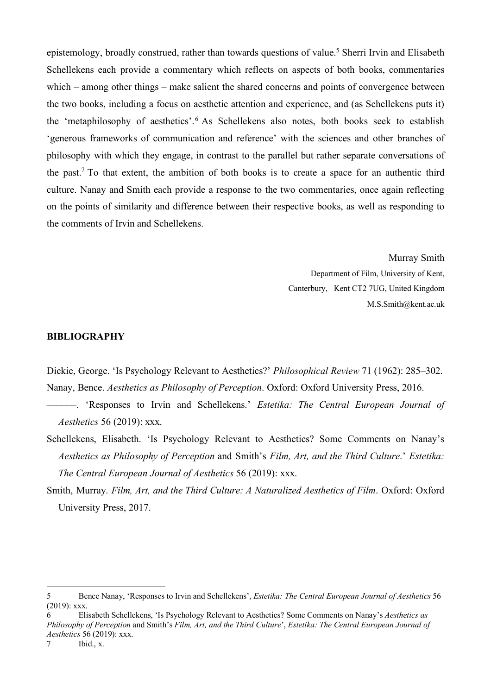epistemology, broadly construed, rather than towards questions of value.<sup>5</sup> Sherri Irvin and Elisabeth Schellekens each provide a commentary which reflects on aspects of both books, commentaries which – among other things – make salient the shared concerns and points of convergence between the two books, including a focus on aesthetic attention and experience, and (as Schellekens puts it) the 'metaphilosophy of aesthetics'.<sup>6</sup> As Schellekens also notes, both books seek to establish 'generous frameworks of communication and reference' with the sciences and other branches of philosophy with which they engage, in contrast to the parallel but rather separate conversations of the past.<sup>7</sup> To that extent, the ambition of both books is to create a space for an authentic third culture. Nanay and Smith each provide a response to the two commentaries, once again reflecting on the points of similarity and difference between their respective books, as well as responding to the comments of Irvin and Schellekens.

> Murray Smith Department of Film, University of Kent, Canterbury, Kent CT2 7UG, United Kingdom M.S.Smith@kent.ac.uk

#### **BIBLIOGRAPHY**

Dickie, George. 'Is Psychology Relevant to Aesthetics?' *Philosophical Review* 71 (1962): 285–302. Nanay, Bence. *Aesthetics as Philosophy of Perception*. Oxford: Oxford University Press, 2016.

- ––––––. 'Responses to Irvin and Schellekens.' *Estetika: The Central European Journal of Aesthetics* 56 (2019): xxx.
- Schellekens, Elisabeth. 'Is Psychology Relevant to Aesthetics? Some Comments on Nanay's *Aesthetics as Philosophy of Perception* and Smith's *Film, Art, and the Third Culture*.' *Estetika: The Central European Journal of Aesthetics* 56 (2019): xxx.
- Smith, Murray. *Film, Art, and the Third Culture: A Naturalized Aesthetics of Film*. Oxford: Oxford University Press, 2017.

<sup>5</sup> Bence Nanay, 'Responses to Irvin and Schellekens', *Estetika: The Central European Journal of Aesthetics* 56 (2019): xxx.

<sup>6</sup> Elisabeth Schellekens, 'Is Psychology Relevant to Aesthetics? Some Comments on Nanay's *Aesthetics as Philosophy of Perception* and Smith's *Film, Art, and the Third Culture*', *Estetika: The Central European Journal of Aesthetics* 56 (2019): xxx.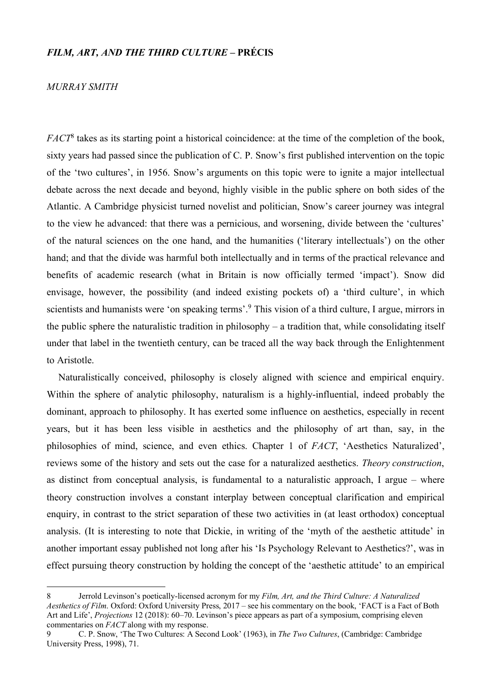#### *FILM, ART, AND THE THIRD CULTURE* **– PRÉCIS**

#### *MURRAY SMITH*

 $\overline{a}$ 

*FACT*<sup>8</sup> takes as its starting point a historical coincidence: at the time of the completion of the book, sixty years had passed since the publication of C. P. Snow's first published intervention on the topic of the 'two cultures', in 1956. Snow's arguments on this topic were to ignite a major intellectual debate across the next decade and beyond, highly visible in the public sphere on both sides of the Atlantic. A Cambridge physicist turned novelist and politician, Snow's career journey was integral to the view he advanced: that there was a pernicious, and worsening, divide between the 'cultures' of the natural sciences on the one hand, and the humanities ('literary intellectuals') on the other hand; and that the divide was harmful both intellectually and in terms of the practical relevance and benefits of academic research (what in Britain is now officially termed 'impact'). Snow did envisage, however, the possibility (and indeed existing pockets of) a 'third culture', in which scientists and humanists were 'on speaking terms'.<sup>9</sup> This vision of a third culture, I argue, mirrors in the public sphere the naturalistic tradition in philosophy – a tradition that, while consolidating itself under that label in the twentieth century, can be traced all the way back through the Enlightenment to Aristotle.

Naturalistically conceived, philosophy is closely aligned with science and empirical enquiry. Within the sphere of analytic philosophy, naturalism is a highly-influential, indeed probably the dominant, approach to philosophy. It has exerted some influence on aesthetics, especially in recent years, but it has been less visible in aesthetics and the philosophy of art than, say, in the philosophies of mind, science, and even ethics. Chapter 1 of *FACT*, 'Aesthetics Naturalized', reviews some of the history and sets out the case for a naturalized aesthetics. *Theory construction*, as distinct from conceptual analysis, is fundamental to a naturalistic approach, I argue – where theory construction involves a constant interplay between conceptual clarification and empirical enquiry, in contrast to the strict separation of these two activities in (at least orthodox) conceptual analysis. (It is interesting to note that Dickie, in writing of the 'myth of the aesthetic attitude' in another important essay published not long after his 'Is Psychology Relevant to Aesthetics?', was in effect pursuing theory construction by holding the concept of the 'aesthetic attitude' to an empirical

<sup>8</sup> Jerrold Levinson's poetically-licensed acronym for my *Film, Art, and the Third Culture: A Naturalized Aesthetics of Film*. Oxford: Oxford University Press, 2017 – see his commentary on the book, 'FACT is a Fact of Both Art and Life', *Projections* 12 (2018): 60–70. Levinson's piece appears as part of a symposium, comprising eleven commentaries on *FACT* along with my response.

<sup>9</sup> C. P. Snow, 'The Two Cultures: A Second Look' (1963), in *The Two Cultures*, (Cambridge: Cambridge University Press, 1998), 71.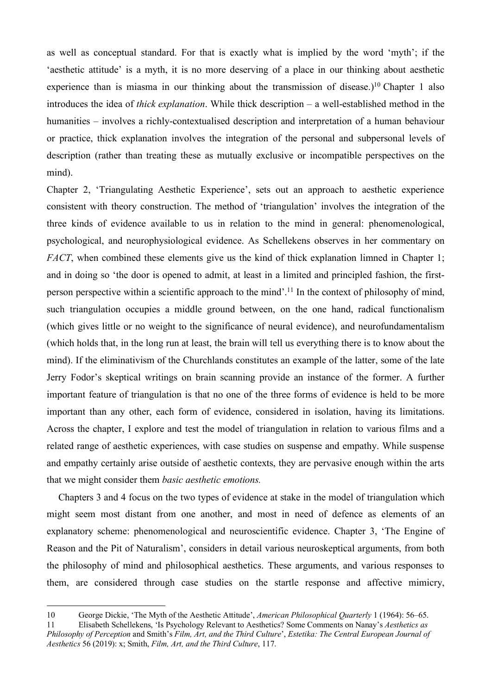as well as conceptual standard. For that is exactly what is implied by the word 'myth'; if the 'aesthetic attitude' is a myth, it is no more deserving of a place in our thinking about aesthetic experience than is miasma in our thinking about the transmission of disease.)<sup>10</sup> Chapter 1 also introduces the idea of *thick explanation*. While thick description – a well-established method in the humanities – involves a richly-contextualised description and interpretation of a human behaviour or practice, thick explanation involves the integration of the personal and subpersonal levels of description (rather than treating these as mutually exclusive or incompatible perspectives on the mind).

Chapter 2, 'Triangulating Aesthetic Experience', sets out an approach to aesthetic experience consistent with theory construction. The method of 'triangulation' involves the integration of the three kinds of evidence available to us in relation to the mind in general: phenomenological, psychological, and neurophysiological evidence. As Schellekens observes in her commentary on *FACT*, when combined these elements give us the kind of thick explanation limned in Chapter 1; and in doing so 'the door is opened to admit, at least in a limited and principled fashion, the firstperson perspective within a scientific approach to the mind'.<sup>11</sup> In the context of philosophy of mind, such triangulation occupies a middle ground between, on the one hand, radical functionalism (which gives little or no weight to the significance of neural evidence), and neurofundamentalism (which holds that, in the long run at least, the brain will tell us everything there is to know about the mind). If the eliminativism of the Churchlands constitutes an example of the latter, some of the late Jerry Fodor's skeptical writings on brain scanning provide an instance of the former. A further important feature of triangulation is that no one of the three forms of evidence is held to be more important than any other, each form of evidence, considered in isolation, having its limitations. Across the chapter, I explore and test the model of triangulation in relation to various films and a related range of aesthetic experiences, with case studies on suspense and empathy. While suspense and empathy certainly arise outside of aesthetic contexts, they are pervasive enough within the arts that we might consider them *basic aesthetic emotions.* 

Chapters 3 and 4 focus on the two types of evidence at stake in the model of triangulation which might seem most distant from one another, and most in need of defence as elements of an explanatory scheme: phenomenological and neuroscientific evidence. Chapter 3, 'The Engine of Reason and the Pit of Naturalism', considers in detail various neuroskeptical arguments, from both the philosophy of mind and philosophical aesthetics. These arguments, and various responses to them, are considered through case studies on the startle response and affective mimicry,

<sup>10</sup> George Dickie, 'The Myth of the Aesthetic Attitude', *American Philosophical Quarterly* 1 (1964): 56–65. 11 Elisabeth Schellekens, 'Is Psychology Relevant to Aesthetics? Some Comments on Nanay's *Aesthetics as Philosophy of Perception* and Smith's *Film, Art, and the Third Culture*', *Estetika: The Central European Journal of Aesthetics* 56 (2019): x; Smith, *Film, Art, and the Third Culture*, 117.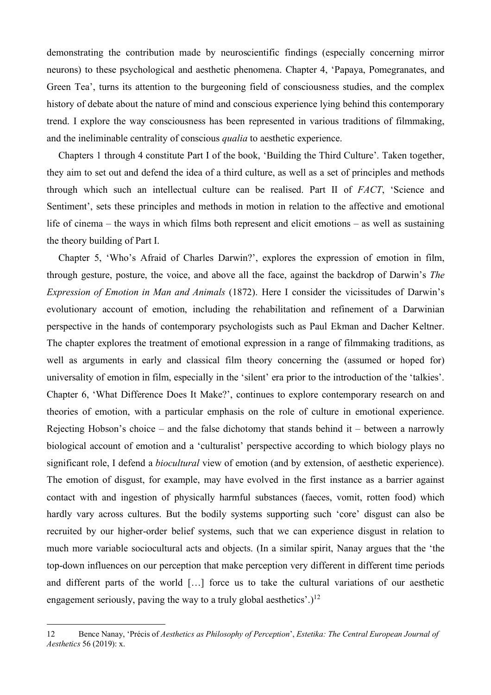demonstrating the contribution made by neuroscientific findings (especially concerning mirror neurons) to these psychological and aesthetic phenomena. Chapter 4, 'Papaya, Pomegranates, and Green Tea', turns its attention to the burgeoning field of consciousness studies, and the complex history of debate about the nature of mind and conscious experience lying behind this contemporary trend. I explore the way consciousness has been represented in various traditions of filmmaking, and the ineliminable centrality of conscious *qualia* to aesthetic experience.

Chapters 1 through 4 constitute Part I of the book, 'Building the Third Culture'. Taken together, they aim to set out and defend the idea of a third culture, as well as a set of principles and methods through which such an intellectual culture can be realised. Part II of *FACT*, 'Science and Sentiment', sets these principles and methods in motion in relation to the affective and emotional life of cinema – the ways in which films both represent and elicit emotions – as well as sustaining the theory building of Part I.

Chapter 5, 'Who's Afraid of Charles Darwin?', explores the expression of emotion in film, through gesture, posture, the voice, and above all the face, against the backdrop of Darwin's *The Expression of Emotion in Man and Animals* (1872). Here I consider the vicissitudes of Darwin's evolutionary account of emotion, including the rehabilitation and refinement of a Darwinian perspective in the hands of contemporary psychologists such as Paul Ekman and Dacher Keltner. The chapter explores the treatment of emotional expression in a range of filmmaking traditions, as well as arguments in early and classical film theory concerning the (assumed or hoped for) universality of emotion in film, especially in the 'silent' era prior to the introduction of the 'talkies'. Chapter 6, 'What Difference Does It Make?', continues to explore contemporary research on and theories of emotion, with a particular emphasis on the role of culture in emotional experience. Rejecting Hobson's choice – and the false dichotomy that stands behind it – between a narrowly biological account of emotion and a 'culturalist' perspective according to which biology plays no significant role, I defend a *biocultural* view of emotion (and by extension, of aesthetic experience). The emotion of disgust, for example, may have evolved in the first instance as a barrier against contact with and ingestion of physically harmful substances (faeces, vomit, rotten food) which hardly vary across cultures. But the bodily systems supporting such 'core' disgust can also be recruited by our higher-order belief systems, such that we can experience disgust in relation to much more variable sociocultural acts and objects. (In a similar spirit, Nanay argues that the 'the top-down influences on our perception that make perception very different in different time periods and different parts of the world […] force us to take the cultural variations of our aesthetic engagement seriously, paving the way to a truly global aesthetics'.)<sup>12</sup>

<sup>12</sup> Bence Nanay, 'Précis of *Aesthetics as Philosophy of Perception*', *Estetika: The Central European Journal of Aesthetics* 56 (2019): x.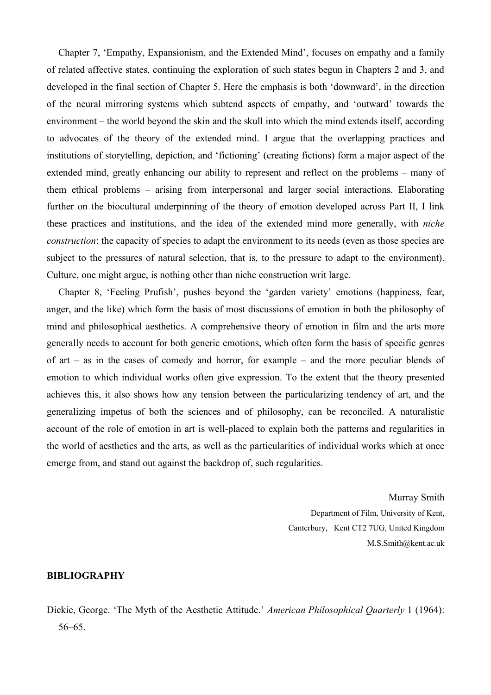Chapter 7, 'Empathy, Expansionism, and the Extended Mind', focuses on empathy and a family of related affective states, continuing the exploration of such states begun in Chapters 2 and 3, and developed in the final section of Chapter 5. Here the emphasis is both 'downward', in the direction of the neural mirroring systems which subtend aspects of empathy, and 'outward' towards the environment – the world beyond the skin and the skull into which the mind extends itself, according to advocates of the theory of the extended mind. I argue that the overlapping practices and institutions of storytelling, depiction, and 'fictioning' (creating fictions) form a major aspect of the extended mind, greatly enhancing our ability to represent and reflect on the problems – many of them ethical problems – arising from interpersonal and larger social interactions. Elaborating further on the biocultural underpinning of the theory of emotion developed across Part II, I link these practices and institutions, and the idea of the extended mind more generally, with *niche construction*: the capacity of species to adapt the environment to its needs (even as those species are subject to the pressures of natural selection, that is, to the pressure to adapt to the environment). Culture, one might argue, is nothing other than niche construction writ large.

Chapter 8, 'Feeling Prufish', pushes beyond the 'garden variety' emotions (happiness, fear, anger, and the like) which form the basis of most discussions of emotion in both the philosophy of mind and philosophical aesthetics. A comprehensive theory of emotion in film and the arts more generally needs to account for both generic emotions, which often form the basis of specific genres of art – as in the cases of comedy and horror, for example – and the more peculiar blends of emotion to which individual works often give expression. To the extent that the theory presented achieves this, it also shows how any tension between the particularizing tendency of art, and the generalizing impetus of both the sciences and of philosophy, can be reconciled. A naturalistic account of the role of emotion in art is well-placed to explain both the patterns and regularities in the world of aesthetics and the arts, as well as the particularities of individual works which at once emerge from, and stand out against the backdrop of, such regularities.

> Murray Smith Department of Film, University of Kent, Canterbury, Kent CT2 7UG, United Kingdom M.S.Smith@kent.ac.uk

#### **BIBLIOGRAPHY**

Dickie, George. 'The Myth of the Aesthetic Attitude.' *American Philosophical Quarterly* 1 (1964): 56–65.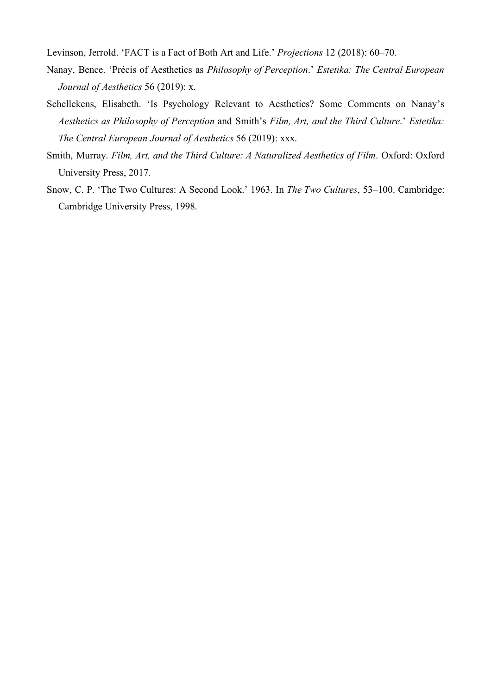Levinson, Jerrold. 'FACT is a Fact of Both Art and Life.' *Projections* 12 (2018): 60–70.

- Nanay, Bence. 'Précis of Aesthetics as *Philosophy of Perception*.' *Estetika: The Central European Journal of Aesthetics* 56 (2019): x.
- Schellekens, Elisabeth. 'Is Psychology Relevant to Aesthetics? Some Comments on Nanay's *Aesthetics as Philosophy of Perception* and Smith's *Film, Art, and the Third Culture*.' *Estetika: The Central European Journal of Aesthetics* 56 (2019): xxx.
- Smith, Murray. *Film, Art, and the Third Culture: A Naturalized Aesthetics of Film*. Oxford: Oxford University Press, 2017.
- Snow, C. P. 'The Two Cultures: A Second Look.' 1963. In *The Two Cultures*, 53–100. Cambridge: Cambridge University Press, 1998.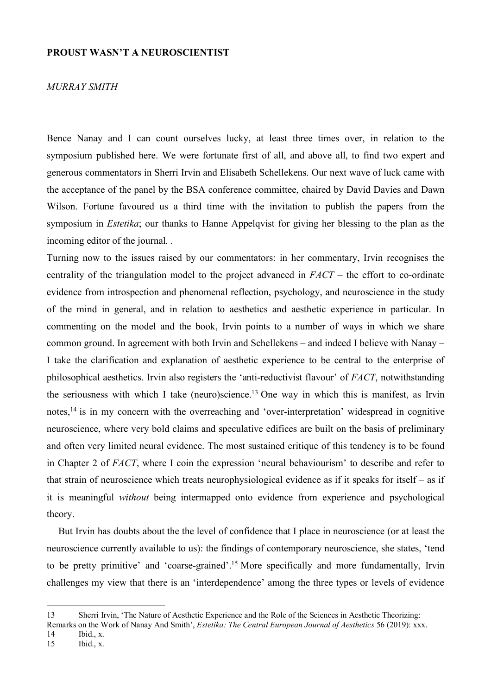#### **PROUST WASN'T A NEUROSCIENTIST**

#### *MURRAY SMITH*

Bence Nanay and I can count ourselves lucky, at least three times over, in relation to the symposium published here. We were fortunate first of all, and above all, to find two expert and generous commentators in Sherri Irvin and Elisabeth Schellekens. Our next wave of luck came with the acceptance of the panel by the BSA conference committee, chaired by David Davies and Dawn Wilson. Fortune favoured us a third time with the invitation to publish the papers from the symposium in *Estetika*; our thanks to Hanne Appelqvist for giving her blessing to the plan as the incoming editor of the journal. .

Turning now to the issues raised by our commentators: in her commentary, Irvin recognises the centrality of the triangulation model to the project advanced in *FACT* – the effort to co-ordinate evidence from introspection and phenomenal reflection, psychology, and neuroscience in the study of the mind in general, and in relation to aesthetics and aesthetic experience in particular. In commenting on the model and the book, Irvin points to a number of ways in which we share common ground. In agreement with both Irvin and Schellekens – and indeed I believe with Nanay – I take the clarification and explanation of aesthetic experience to be central to the enterprise of philosophical aesthetics. Irvin also registers the 'anti-reductivist flavour' of *FACT*, notwithstanding the seriousness with which I take (neuro)science.<sup>13</sup> One way in which this is manifest, as Irvin notes, <sup>14</sup> is in my concern with the overreaching and 'over-interpretation' widespread in cognitive neuroscience, where very bold claims and speculative edifices are built on the basis of preliminary and often very limited neural evidence. The most sustained critique of this tendency is to be found in Chapter 2 of *FACT*, where I coin the expression 'neural behaviourism' to describe and refer to that strain of neuroscience which treats neurophysiological evidence as if it speaks for itself – as if it is meaningful *without* being intermapped onto evidence from experience and psychological theory.

But Irvin has doubts about the the level of confidence that I place in neuroscience (or at least the neuroscience currently available to us): the findings of contemporary neuroscience, she states, 'tend to be pretty primitive' and 'coarse-grained'.<sup>15</sup> More specifically and more fundamentally, Irvin challenges my view that there is an 'interdependence' among the three types or levels of evidence

14 Ibid., x.<br>15 Ibid., x.

 $\overline{a}$ 

Ibid., x.

<sup>13</sup> Sherri Irvin, 'The Nature of Aesthetic Experience and the Role of the Sciences in Aesthetic Theorizing:

Remarks on the Work of Nanay And Smith', *Estetika: The Central European Journal of Aesthetics* 56 (2019): xxx.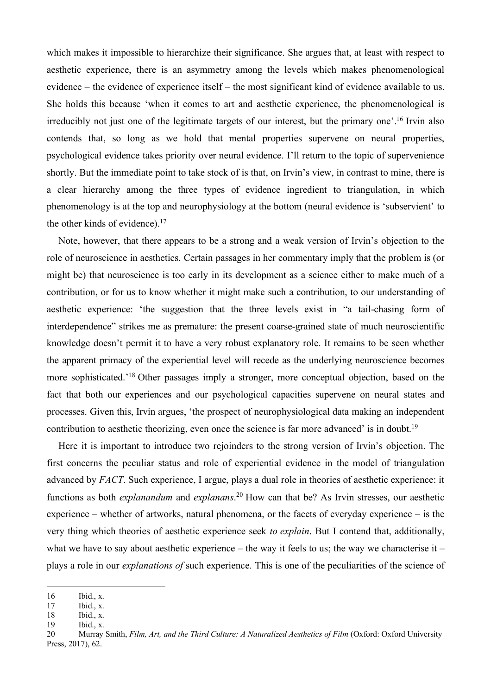which makes it impossible to hierarchize their significance. She argues that, at least with respect to aesthetic experience, there is an asymmetry among the levels which makes phenomenological evidence – the evidence of experience itself – the most significant kind of evidence available to us. She holds this because 'when it comes to art and aesthetic experience, the phenomenological is irreducibly not just one of the legitimate targets of our interest, but the primary one'.<sup>16</sup> Irvin also contends that, so long as we hold that mental properties supervene on neural properties, psychological evidence takes priority over neural evidence. I'll return to the topic of supervenience shortly. But the immediate point to take stock of is that, on Irvin's view, in contrast to mine, there is a clear hierarchy among the three types of evidence ingredient to triangulation, in which phenomenology is at the top and neurophysiology at the bottom (neural evidence is 'subservient' to the other kinds of evidence).<sup>17</sup>

Note, however, that there appears to be a strong and a weak version of Irvin's objection to the role of neuroscience in aesthetics. Certain passages in her commentary imply that the problem is (or might be) that neuroscience is too early in its development as a science either to make much of a contribution, or for us to know whether it might make such a contribution, to our understanding of aesthetic experience: 'the suggestion that the three levels exist in "a tail-chasing form of interdependence" strikes me as premature: the present coarse-grained state of much neuroscientific knowledge doesn't permit it to have a very robust explanatory role. It remains to be seen whether the apparent primacy of the experiential level will recede as the underlying neuroscience becomes more sophisticated.'<sup>18</sup> Other passages imply a stronger, more conceptual objection, based on the fact that both our experiences and our psychological capacities supervene on neural states and processes. Given this, Irvin argues, 'the prospect of neurophysiological data making an independent contribution to aesthetic theorizing, even once the science is far more advanced' is in doubt.<sup>19</sup>

Here it is important to introduce two rejoinders to the strong version of Irvin's objection. The first concerns the peculiar status and role of experiential evidence in the model of triangulation advanced by *FACT*. Such experience, I argue, plays a dual role in theories of aesthetic experience: it functions as both *explanandum* and *explanans*. <sup>20</sup> How can that be? As Irvin stresses, our aesthetic experience – whether of artworks, natural phenomena, or the facets of everyday experience – is the very thing which theories of aesthetic experience seek *to explain*. But I contend that, additionally, what we have to say about aesthetic experience – the way it feels to us; the way we characterise it – plays a role in our *explanations of* such experience. This is one of the peculiarities of the science of

<sup>16</sup> Ibid., x.

<sup>17</sup> Ibid., x.

<sup>18</sup> Ibid., x.

<sup>19</sup> Ibid., x.

<sup>20</sup> Murray Smith, *Film, Art, and the Third Culture: A Naturalized Aesthetics of Film* (Oxford: Oxford University Press, 2017), 62.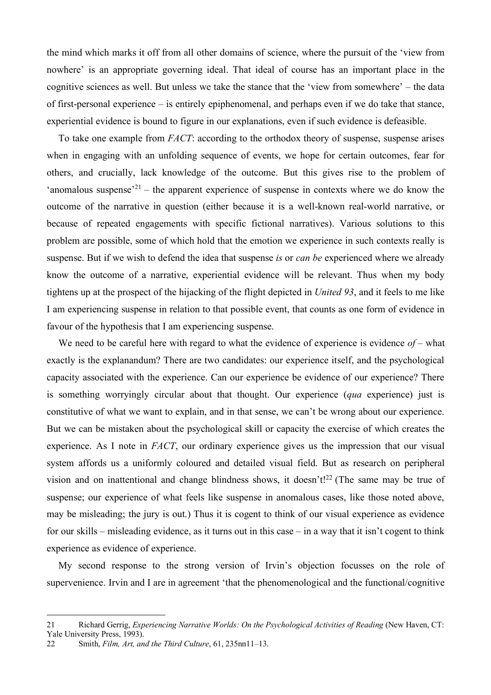the mind which marks it off from all other domains of science, where the pursuit of the 'view from nowhere' is an appropriate governing ideal. That ideal of course has an important place in the cognitive sciences as well. But unless we take the stance that the 'view from somewhere' – the data of first-personal experience – is entirely epiphenomenal, and perhaps even if we do take that stance, experiential evidence is bound to figure in our explanations, even if such evidence is defeasible.

To take one example from *FACT*: according to the orthodox theory of suspense, suspense arises when in engaging with an unfolding sequence of events, we hope for certain outcomes, fear for others, and crucially, lack knowledge of the outcome. But this gives rise to the problem of 'anomalous suspense'<sup>21</sup> – the apparent experience of suspense in contexts where we do know the outcome of the narrative in question (either because it is a well-known real-world narrative, or because of repeated engagements with specific fictional narratives). Various solutions to this problem are possible, some of which hold that the emotion we experience in such contexts really is suspense. But if we wish to defend the idea that suspense *is* or *can be* experienced where we already know the outcome of a narrative, experiential evidence will be relevant. Thus when my body tightens up at the prospect of the hijacking of the flight depicted in *United 93*, and it feels to me like I am experiencing suspense in relation to that possible event, that counts as one form of evidence in favour of the hypothesis that I am experiencing suspense.

We need to be careful here with regard to what the evidence of experience is evidence *of* – what exactly is the explanandum? There are two candidates: our experience itself, and the psychological capacity associated with the experience. Can our experience be evidence of our experience? There is something worryingly circular about that thought. Our experience (*qua* experience) just is constitutive of what we want to explain, and in that sense, we can't be wrong about our experience. But we can be mistaken about the psychological skill or capacity the exercise of which creates the experience. As I note in *FACT*, our ordinary experience gives us the impression that our visual system affords us a uniformly coloured and detailed visual field. But as research on peripheral vision and on inattentional and change blindness shows, it doesn't!<sup>22</sup> (The same may be true of suspense; our experience of what feels like suspense in anomalous cases, like those noted above, may be misleading; the jury is out.) Thus it is cogent to think of our visual experience as evidence for our skills – misleading evidence, as it turns out in this case – in a way that it isn't cogent to think experience as evidence of experience.

My second response to the strong version of Irvin's objection focusses on the role of supervenience. Irvin and I are in agreement 'that the phenomenological and the functional/cognitive

<sup>21</sup> Richard Gerrig, *Experiencing Narrative Worlds: On the Psychological Activities of Reading* (New Haven, CT: Yale University Press, 1993).

<sup>22</sup> Smith, *Film, Art, and the Third Culture*, 61, 235nn11–13.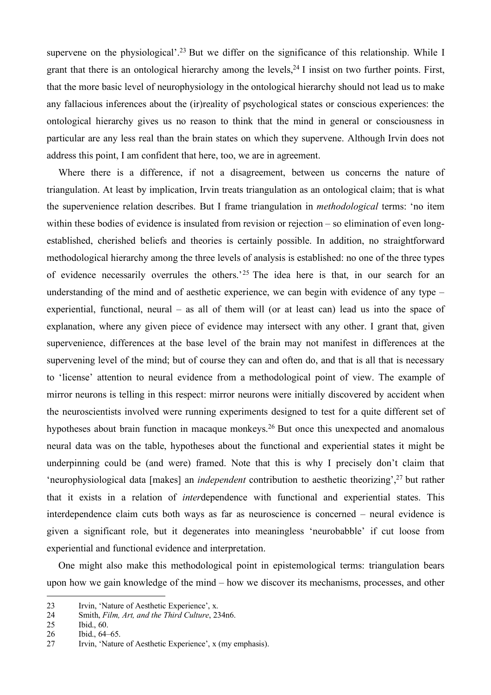supervene on the physiological'.<sup>23</sup> But we differ on the significance of this relationship. While I grant that there is an ontological hierarchy among the levels,  $24$  I insist on two further points. First, that the more basic level of neurophysiology in the ontological hierarchy should not lead us to make any fallacious inferences about the (ir)reality of psychological states or conscious experiences: the ontological hierarchy gives us no reason to think that the mind in general or consciousness in particular are any less real than the brain states on which they supervene. Although Irvin does not address this point, I am confident that here, too, we are in agreement.

Where there is a difference, if not a disagreement, between us concerns the nature of triangulation. At least by implication, Irvin treats triangulation as an ontological claim; that is what the supervenience relation describes. But I frame triangulation in *methodological* terms: 'no item within these bodies of evidence is insulated from revision or rejection – so elimination of even longestablished, cherished beliefs and theories is certainly possible. In addition, no straightforward methodological hierarchy among the three levels of analysis is established: no one of the three types of evidence necessarily overrules the others.'<sup>25</sup> The idea here is that, in our search for an understanding of the mind and of aesthetic experience, we can begin with evidence of any type – experiential, functional, neural – as all of them will (or at least can) lead us into the space of explanation, where any given piece of evidence may intersect with any other. I grant that, given supervenience, differences at the base level of the brain may not manifest in differences at the supervening level of the mind; but of course they can and often do, and that is all that is necessary to 'license' attention to neural evidence from a methodological point of view. The example of mirror neurons is telling in this respect: mirror neurons were initially discovered by accident when the neuroscientists involved were running experiments designed to test for a quite different set of hypotheses about brain function in macaque monkeys.<sup>26</sup> But once this unexpected and anomalous neural data was on the table, hypotheses about the functional and experiential states it might be underpinning could be (and were) framed. Note that this is why I precisely don't claim that 'neurophysiological data [makes] an *independent* contribution to aesthetic theorizing',<sup>27</sup> but rather that it exists in a relation of *inter*dependence with functional and experiential states. This interdependence claim cuts both ways as far as neuroscience is concerned – neural evidence is given a significant role, but it degenerates into meaningless 'neurobabble' if cut loose from experiential and functional evidence and interpretation.

One might also make this methodological point in epistemological terms: triangulation bears upon how we gain knowledge of the mind – how we discover its mechanisms, processes, and other

<sup>23</sup> Irvin, 'Nature of Aesthetic Experience', x.<br>24 Smith. Film. Art. and the Third Culture. 23

<sup>24</sup> Smith, *Film, Art, and the Third Culture*, 234n6.

<sup>25</sup> Ibid., 60.

<sup>26</sup> Ibid., 64–65.

<sup>27</sup> Irvin, 'Nature of Aesthetic Experience', x (my emphasis).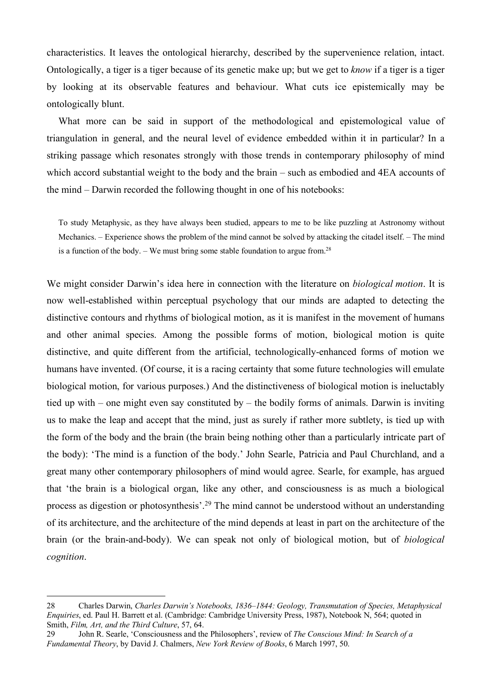characteristics. It leaves the ontological hierarchy, described by the supervenience relation, intact. Ontologically, a tiger is a tiger because of its genetic make up; but we get to *know* if a tiger is a tiger by looking at its observable features and behaviour. What cuts ice epistemically may be ontologically blunt.

What more can be said in support of the methodological and epistemological value of triangulation in general, and the neural level of evidence embedded within it in particular? In a striking passage which resonates strongly with those trends in contemporary philosophy of mind which accord substantial weight to the body and the brain – such as embodied and 4EA accounts of the mind – Darwin recorded the following thought in one of his notebooks:

To study Metaphysic, as they have always been studied, appears to me to be like puzzling at Astronomy without Mechanics. – Experience shows the problem of the mind cannot be solved by attacking the citadel itself. – The mind is a function of the body. – We must bring some stable foundation to argue from.<sup>28</sup>

We might consider Darwin's idea here in connection with the literature on *biological motion*. It is now well-established within perceptual psychology that our minds are adapted to detecting the distinctive contours and rhythms of biological motion, as it is manifest in the movement of humans and other animal species. Among the possible forms of motion, biological motion is quite distinctive, and quite different from the artificial, technologically-enhanced forms of motion we humans have invented. (Of course, it is a racing certainty that some future technologies will emulate biological motion, for various purposes.) And the distinctiveness of biological motion is ineluctably tied up with – one might even say constituted by – the bodily forms of animals. Darwin is inviting us to make the leap and accept that the mind, just as surely if rather more subtlety, is tied up with the form of the body and the brain (the brain being nothing other than a particularly intricate part of the body): 'The mind is a function of the body.' John Searle, Patricia and Paul Churchland, and a great many other contemporary philosophers of mind would agree. Searle, for example, has argued that 'the brain is a biological organ, like any other, and consciousness is as much a biological process as digestion or photosynthesis'.<sup>29</sup> The mind cannot be understood without an understanding of its architecture, and the architecture of the mind depends at least in part on the architecture of the brain (or the brain-and-body). We can speak not only of biological motion, but of *biological cognition*.

<sup>28</sup> Charles Darwin, *Charles Darwin's Notebooks, 1836–1844: Geology, Transmutation of Species, Metaphysical Enquiries*, ed. Paul H. Barrett et al. (Cambridge: Cambridge University Press, 1987), Notebook N, 564; quoted in Smith, *Film, Art, and the Third Culture*, 57, 64.

<sup>29</sup> John R. Searle, 'Consciousness and the Philosophers', review of *The Conscious Mind: In Search of a Fundamental Theory*, by David J. Chalmers, *New York Review of Books*, 6 March 1997, 50.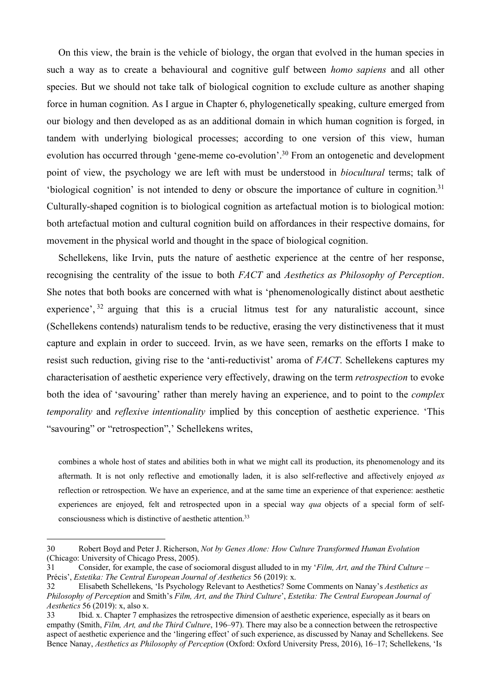On this view, the brain is the vehicle of biology, the organ that evolved in the human species in such a way as to create a behavioural and cognitive gulf between *homo sapiens* and all other species. But we should not take talk of biological cognition to exclude culture as another shaping force in human cognition. As I argue in Chapter 6, phylogenetically speaking, culture emerged from our biology and then developed as as an additional domain in which human cognition is forged, in tandem with underlying biological processes; according to one version of this view, human evolution has occurred through 'gene-meme co-evolution'.<sup>30</sup> From an ontogenetic and development point of view, the psychology we are left with must be understood in *biocultural* terms; talk of 'biological cognition' is not intended to deny or obscure the importance of culture in cognition.<sup>31</sup> Culturally-shaped cognition is to biological cognition as artefactual motion is to biological motion: both artefactual motion and cultural cognition build on affordances in their respective domains, for movement in the physical world and thought in the space of biological cognition.

Schellekens, like Irvin, puts the nature of aesthetic experience at the centre of her response, recognising the centrality of the issue to both *FACT* and *Aesthetics as Philosophy of Perception*. She notes that both books are concerned with what is 'phenomenologically distinct about aesthetic experience', <sup>32</sup> arguing that this is a crucial litmus test for any naturalistic account, since (Schellekens contends) naturalism tends to be reductive, erasing the very distinctiveness that it must capture and explain in order to succeed. Irvin, as we have seen, remarks on the efforts I make to resist such reduction, giving rise to the 'anti-reductivist' aroma of *FACT*. Schellekens captures my characterisation of aesthetic experience very effectively, drawing on the term *retrospection* to evoke both the idea of 'savouring' rather than merely having an experience, and to point to the *complex temporality* and *reflexive intentionality* implied by this conception of aesthetic experience. 'This "savouring" or "retrospection",' Schellekens writes,

combines a whole host of states and abilities both in what we might call its production, its phenomenology and its aftermath. It is not only reflective and emotionally laden, it is also self-reflective and affectively enjoyed *as* reflection or retrospection. We have an experience, and at the same time an experience of that experience: aesthetic experiences are enjoyed, felt and retrospected upon in a special way *qua* objects of a special form of selfconsciousness which is distinctive of aesthetic attention.<sup>33</sup>

<sup>30</sup> Robert Boyd and Peter J. Richerson, *Not by Genes Alone: How Culture Transformed Human Evolution* (Chicago: University of Chicago Press, 2005).

<sup>31</sup> Consider, for example, the case of sociomoral disgust alluded to in my '*Film, Art, and the Third Culture* – Précis', *Estetika: The Central European Journal of Aesthetics* 56 (2019): x.

<sup>32</sup> Elisabeth Schellekens, 'Is Psychology Relevant to Aesthetics? Some Comments on Nanay's *Aesthetics as Philosophy of Perception* and Smith's *Film, Art, and the Third Culture*', *Estetika: The Central European Journal of Aesthetics* 56 (2019): x, also x.

<sup>33</sup> Ibid. x. Chapter 7 emphasizes the retrospective dimension of aesthetic experience, especially as it bears on empathy (Smith, *Film, Art, and the Third Culture*, 196–97). There may also be a connection between the retrospective aspect of aesthetic experience and the 'lingering effect' of such experience, as discussed by Nanay and Schellekens. See Bence Nanay, *Aesthetics as Philosophy of Perception* (Oxford: Oxford University Press, 2016), 16–17; Schellekens, 'Is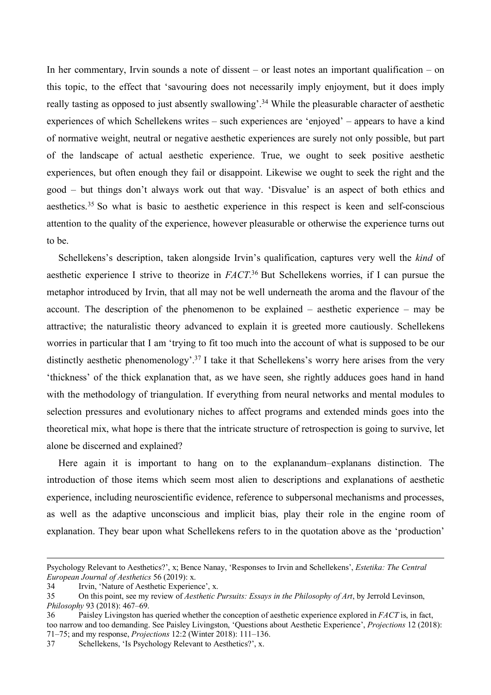In her commentary, Irvin sounds a note of dissent – or least notes an important qualification – on this topic, to the effect that 'savouring does not necessarily imply enjoyment, but it does imply really tasting as opposed to just absently swallowing'.<sup>34</sup> While the pleasurable character of aesthetic experiences of which Schellekens writes – such experiences are 'enjoyed' – appears to have a kind of normative weight, neutral or negative aesthetic experiences are surely not only possible, but part of the landscape of actual aesthetic experience. True, we ought to seek positive aesthetic experiences, but often enough they fail or disappoint. Likewise we ought to seek the right and the good – but things don't always work out that way. 'Disvalue' is an aspect of both ethics and aesthetics.<sup>35</sup> So what is basic to aesthetic experience in this respect is keen and self-conscious attention to the quality of the experience, however pleasurable or otherwise the experience turns out to be.

Schellekens's description, taken alongside Irvin's qualification, captures very well the *kind* of aesthetic experience I strive to theorize in *FACT*. <sup>36</sup> But Schellekens worries, if I can pursue the metaphor introduced by Irvin, that all may not be well underneath the aroma and the flavour of the account. The description of the phenomenon to be explained – aesthetic experience – may be attractive; the naturalistic theory advanced to explain it is greeted more cautiously. Schellekens worries in particular that I am 'trying to fit too much into the account of what is supposed to be our distinctly aesthetic phenomenology'.<sup>37</sup> I take it that Schellekens's worry here arises from the very 'thickness' of the thick explanation that, as we have seen, she rightly adduces goes hand in hand with the methodology of triangulation. If everything from neural networks and mental modules to selection pressures and evolutionary niches to affect programs and extended minds goes into the theoretical mix, what hope is there that the intricate structure of retrospection is going to survive, let alone be discerned and explained?

Here again it is important to hang on to the explanandum–explanans distinction. The introduction of those items which seem most alien to descriptions and explanations of aesthetic experience, including neuroscientific evidence, reference to subpersonal mechanisms and processes, as well as the adaptive unconscious and implicit bias, play their role in the engine room of explanation. They bear upon what Schellekens refers to in the quotation above as the 'production'

Psychology Relevant to Aesthetics?', x; Bence Nanay, 'Responses to Irvin and Schellekens', *Estetika: The Central European Journal of Aesthetics* 56 (2019): x.

<sup>34</sup> Irvin, 'Nature of Aesthetic Experience', x.

<sup>35</sup> On this point, see my review of *Aesthetic Pursuits: Essays in the Philosophy of Art*, by Jerrold Levinson, *Philosophy* 93 (2018): 467–69.

<sup>36</sup> Paisley Livingston has queried whether the conception of aesthetic experience explored in *FACT* is, in fact, too narrow and too demanding. See Paisley Livingston, 'Questions about Aesthetic Experience', *Projections* 12 (2018): 71–75; and my response, *Projections* 12:2 (Winter 2018): 111–136.

<sup>37</sup> Schellekens, 'Is Psychology Relevant to Aesthetics?', x.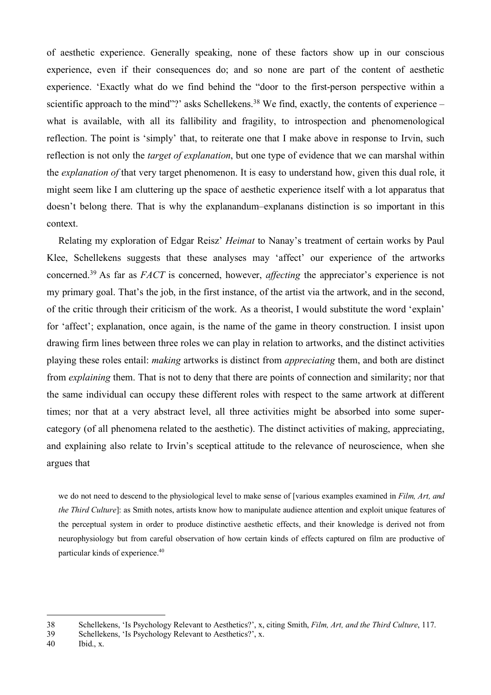of aesthetic experience. Generally speaking, none of these factors show up in our conscious experience, even if their consequences do; and so none are part of the content of aesthetic experience. 'Exactly what do we find behind the "door to the first-person perspective within a scientific approach to the mind"?' asks Schellekens.<sup>38</sup> We find, exactly, the contents of experience – what is available, with all its fallibility and fragility, to introspection and phenomenological reflection. The point is 'simply' that, to reiterate one that I make above in response to Irvin, such reflection is not only the *target of explanation*, but one type of evidence that we can marshal within the *explanation of* that very target phenomenon. It is easy to understand how, given this dual role, it might seem like I am cluttering up the space of aesthetic experience itself with a lot apparatus that doesn't belong there. That is why the explanandum–explanans distinction is so important in this context.

Relating my exploration of Edgar Reisz' *Heimat* to Nanay's treatment of certain works by Paul Klee, Schellekens suggests that these analyses may 'affect' our experience of the artworks concerned.<sup>39</sup> As far as *FACT* is concerned, however, *affecting* the appreciator's experience is not my primary goal. That's the job, in the first instance, of the artist via the artwork, and in the second, of the critic through their criticism of the work. As a theorist, I would substitute the word 'explain' for 'affect'; explanation, once again, is the name of the game in theory construction. I insist upon drawing firm lines between three roles we can play in relation to artworks, and the distinct activities playing these roles entail: *making* artworks is distinct from *appreciating* them, and both are distinct from *explaining* them. That is not to deny that there are points of connection and similarity; nor that the same individual can occupy these different roles with respect to the same artwork at different times; nor that at a very abstract level, all three activities might be absorbed into some supercategory (of all phenomena related to the aesthetic). The distinct activities of making, appreciating, and explaining also relate to Irvin's sceptical attitude to the relevance of neuroscience, when she argues that

we do not need to descend to the physiological level to make sense of [various examples examined in *Film, Art, and the Third Culture*]: as Smith notes, artists know how to manipulate audience attention and exploit unique features of the perceptual system in order to produce distinctive aesthetic effects, and their knowledge is derived not from neurophysiology but from careful observation of how certain kinds of effects captured on film are productive of particular kinds of experience.<sup>40</sup>

<sup>38</sup> Schellekens, 'Is Psychology Relevant to Aesthetics?', x, citing Smith, *Film, Art, and the Third Culture*, 117.

<sup>39</sup> Schellekens, 'Is Psychology Relevant to Aesthetics?', x.

<sup>40</sup> Ibid., x.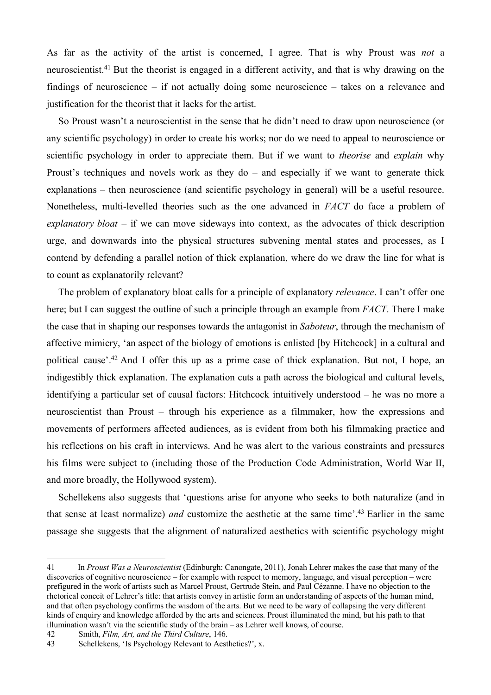As far as the activity of the artist is concerned, I agree. That is why Proust was *not* a neuroscientist.<sup>41</sup> But the theorist is engaged in a different activity, and that is why drawing on the findings of neuroscience – if not actually doing some neuroscience – takes on a relevance and justification for the theorist that it lacks for the artist.

So Proust wasn't a neuroscientist in the sense that he didn't need to draw upon neuroscience (or any scientific psychology) in order to create his works; nor do we need to appeal to neuroscience or scientific psychology in order to appreciate them. But if we want to *theorise* and *explain* why Proust's techniques and novels work as they do – and especially if we want to generate thick explanations – then neuroscience (and scientific psychology in general) will be a useful resource. Nonetheless, multi-levelled theories such as the one advanced in *FACT* do face a problem of *explanatory bloat* – if we can move sideways into context, as the advocates of thick description urge, and downwards into the physical structures subvening mental states and processes, as I contend by defending a parallel notion of thick explanation, where do we draw the line for what is to count as explanatorily relevant?

The problem of explanatory bloat calls for a principle of explanatory *relevance*. I can't offer one here; but I can suggest the outline of such a principle through an example from *FACT*. There I make the case that in shaping our responses towards the antagonist in *Saboteur*, through the mechanism of affective mimicry, 'an aspect of the biology of emotions is enlisted [by Hitchcock] in a cultural and political cause'.<sup>42</sup> And I offer this up as a prime case of thick explanation. But not, I hope, an indigestibly thick explanation. The explanation cuts a path across the biological and cultural levels, identifying a particular set of causal factors: Hitchcock intuitively understood – he was no more a neuroscientist than Proust – through his experience as a filmmaker, how the expressions and movements of performers affected audiences, as is evident from both his filmmaking practice and his reflections on his craft in interviews. And he was alert to the various constraints and pressures his films were subject to (including those of the Production Code Administration, World War II, and more broadly, the Hollywood system).

Schellekens also suggests that 'questions arise for anyone who seeks to both naturalize (and in that sense at least normalize) *and* customize the aesthetic at the same time'.<sup>43</sup> Earlier in the same passage she suggests that the alignment of naturalized aesthetics with scientific psychology might

<sup>41</sup> In *Proust Was a Neuroscientist* (Edinburgh: Canongate, 2011), Jonah Lehrer makes the case that many of the discoveries of cognitive neuroscience – for example with respect to memory, language, and visual perception – were prefigured in the work of artists such as Marcel Proust, Gertrude Stein, and Paul Cézanne. I have no objection to the rhetorical conceit of Lehrer's title: that artists convey in artistic form an understanding of aspects of the human mind, and that often psychology confirms the wisdom of the arts. But we need to be wary of collapsing the very different kinds of enquiry and knowledge afforded by the arts and sciences. Proust illuminated the mind, but his path to that illumination wasn't via the scientific study of the brain – as Lehrer well knows, of course.

<sup>42</sup> Smith, *Film, Art, and the Third Culture*, 146.

Schellekens, 'Is Psychology Relevant to Aesthetics?', x.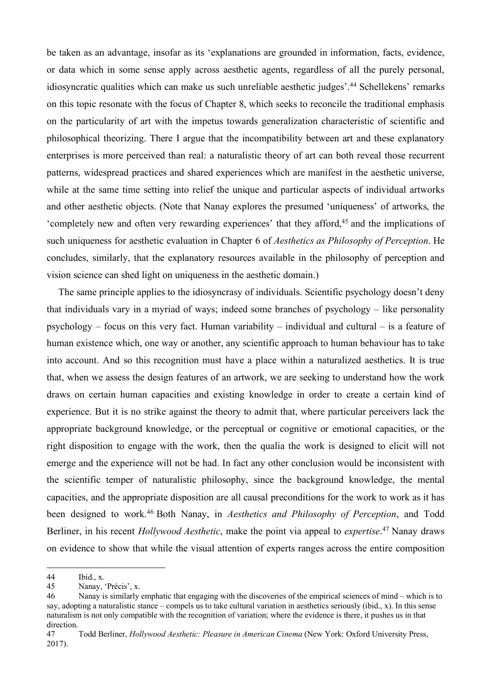be taken as an advantage, insofar as its 'explanations are grounded in information, facts, evidence, or data which in some sense apply across aesthetic agents, regardless of all the purely personal, idiosyncratic qualities which can make us such unreliable aesthetic judges'.<sup>44</sup> Schellekens' remarks on this topic resonate with the focus of Chapter 8, which seeks to reconcile the traditional emphasis on the particularity of art with the impetus towards generalization characteristic of scientific and philosophical theorizing. There I argue that the incompatibility between art and these explanatory enterprises is more perceived than real: a naturalistic theory of art can both reveal those recurrent patterns, widespread practices and shared experiences which are manifest in the aesthetic universe, while at the same time setting into relief the unique and particular aspects of individual artworks and other aesthetic objects. (Note that Nanay explores the presumed 'uniqueness' of artworks, the 'completely new and often very rewarding experiences' that they afford,<sup>45</sup> and the implications of such uniqueness for aesthetic evaluation in Chapter 6 of *Aesthetics as Philosophy of Perception*. He concludes, similarly, that the explanatory resources available in the philosophy of perception and vision science can shed light on uniqueness in the aesthetic domain.)

The same principle applies to the idiosyncrasy of individuals. Scientific psychology doesn't deny that individuals vary in a myriad of ways; indeed some branches of psychology – like personality psychology – focus on this very fact. Human variability – individual and cultural – is a feature of human existence which, one way or another, any scientific approach to human behaviour has to take into account. And so this recognition must have a place within a naturalized aesthetics. It is true that, when we assess the design features of an artwork, we are seeking to understand how the work draws on certain human capacities and existing knowledge in order to create a certain kind of experience. But it is no strike against the theory to admit that, where particular perceivers lack the appropriate background knowledge, or the perceptual or cognitive or emotional capacities, or the right disposition to engage with the work, then the qualia the work is designed to elicit will not emerge and the experience will not be had. In fact any other conclusion would be inconsistent with the scientific temper of naturalistic philosophy, since the background knowledge, the mental capacities, and the appropriate disposition are all causal preconditions for the work to work as it has been designed to work.<sup>46</sup> Both Nanay, in *Aesthetics and Philosophy of Perception*, and Todd Berliner, in his recent *Hollywood Aesthetic*, make the point via appeal to *expertise*. <sup>47</sup> Nanay draws on evidence to show that while the visual attention of experts ranges across the entire composition

<sup>44</sup> Ibid., x.<br>45 Nanav

Nanay, 'Précis', x.

<sup>46</sup> Nanay is similarly emphatic that engaging with the discoveries of the empirical sciences of mind – which is to say, adopting a naturalistic stance – compels us to take cultural variation in aesthetics seriously (ibid., x). In this sense naturalism is not only compatible with the recognition of variation; where the evidence is there, it pushes us in that direction.

<sup>47</sup> Todd Berliner, *Hollywood Aesthetic: Pleasure in American Cinema* (New York: Oxford University Press, 2017).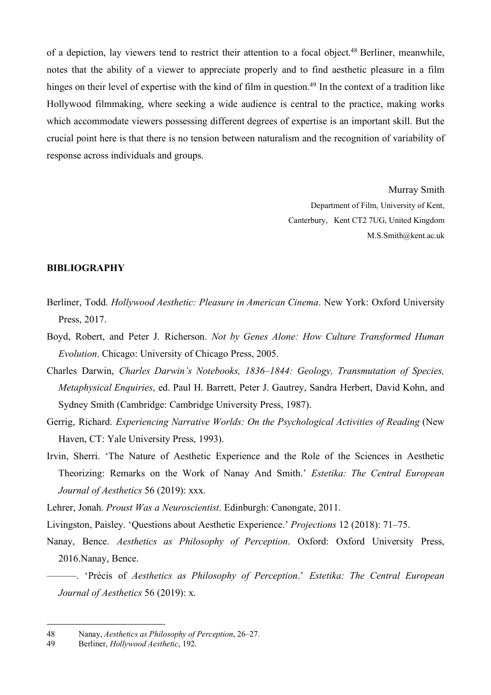of a depiction, lay viewers tend to restrict their attention to a focal object.<sup>48</sup> Berliner, meanwhile, notes that the ability of a viewer to appreciate properly and to find aesthetic pleasure in a film hinges on their level of expertise with the kind of film in question.<sup>49</sup> In the context of a tradition like Hollywood filmmaking, where seeking a wide audience is central to the practice, making works which accommodate viewers possessing different degrees of expertise is an important skill. But the crucial point here is that there is no tension between naturalism and the recognition of variability of response across individuals and groups.

> Murray Smith Department of Film, University of Kent, Canterbury, Kent CT2 7UG, United Kingdom M.S.Smith@kent.ac.uk

#### **BIBLIOGRAPHY**

- Berliner, Todd. *Hollywood Aesthetic: Pleasure in American Cinema*. New York: Oxford University Press, 2017.
- Boyd, Robert, and Peter J. Richerson. *Not by Genes Alone: How Culture Transformed Human Evolution*. Chicago: University of Chicago Press, 2005.
- Charles Darwin, *Charles Darwin's Notebooks, 1836–1844: Geology, Transmutation of Species, Metaphysical Enquiries*, ed. Paul H. Barrett, Peter J. Gautrey, Sandra Herbert, David Kohn, and Sydney Smith (Cambridge: Cambridge University Press, 1987).
- Gerrig, Richard. *Experiencing Narrative Worlds: On the Psychological Activities of Reading* (New Haven, CT: Yale University Press, 1993).
- Irvin, Sherri. 'The Nature of Aesthetic Experience and the Role of the Sciences in Aesthetic Theorizing: Remarks on the Work of Nanay And Smith.' *Estetika: The Central European Journal of Aesthetics* 56 (2019): xxx.

Lehrer, Jonah. *Proust Was a Neuroscientist*. Edinburgh: Canongate, 2011.

Livingston, Paisley. 'Questions about Aesthetic Experience.' *Projections* 12 (2018): 71–75.

Nanay, Bence. *Aesthetics as Philosophy of Perception*. Oxford: Oxford University Press, 2016.Nanay, Bence.

––––––. 'Précis of *Aesthetics as Philosophy of Perception*.' *Estetika: The Central European Journal of Aesthetics* 56 (2019): x.

<sup>48</sup> Nanay, *Aesthetics as Philosophy of Perception*, 26–27.

<sup>49</sup> Berliner, *Hollywood Aesthetic*, 192.